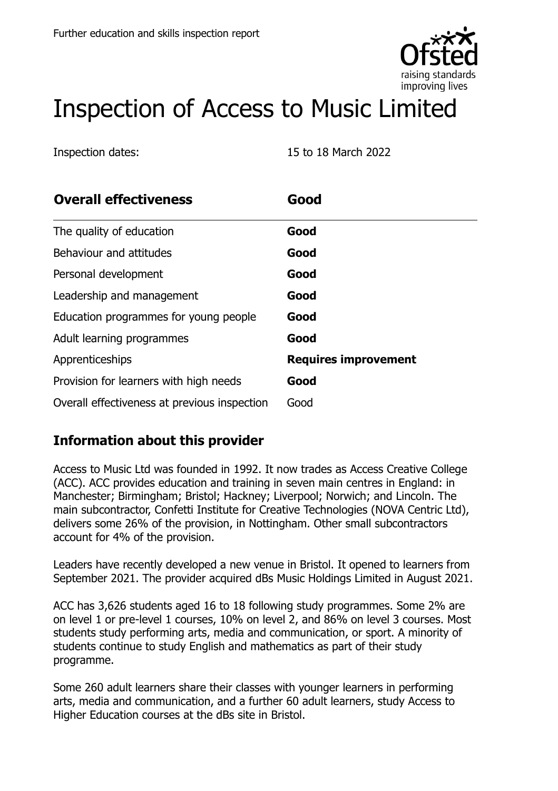

# Inspection of Access to Music Limited

Inspection dates: 15 to 18 March 2022

| <b>Overall effectiveness</b>                 | Good                        |
|----------------------------------------------|-----------------------------|
| The quality of education                     | Good                        |
| Behaviour and attitudes                      | Good                        |
| Personal development                         | Good                        |
| Leadership and management                    | Good                        |
| Education programmes for young people        | Good                        |
| Adult learning programmes                    | Good                        |
| Apprenticeships                              | <b>Requires improvement</b> |
| Provision for learners with high needs       | Good                        |
| Overall effectiveness at previous inspection | Good                        |

## **Information about this provider**

Access to Music Ltd was founded in 1992. It now trades as Access Creative College (ACC). ACC provides education and training in seven main centres in England: in Manchester; Birmingham; Bristol; Hackney; Liverpool; Norwich; and Lincoln. The main subcontractor, Confetti Institute for Creative Technologies (NOVA Centric Ltd), delivers some 26% of the provision, in Nottingham. Other small subcontractors account for 4% of the provision.

Leaders have recently developed a new venue in Bristol. It opened to learners from September 2021. The provider acquired dBs Music Holdings Limited in August 2021.

ACC has 3,626 students aged 16 to 18 following study programmes. Some 2% are on level 1 or pre-level 1 courses, 10% on level 2, and 86% on level 3 courses. Most students study performing arts, media and communication, or sport. A minority of students continue to study English and mathematics as part of their study programme.

Some 260 adult learners share their classes with younger learners in performing arts, media and communication, and a further 60 adult learners, study Access to Higher Education courses at the dBs site in Bristol.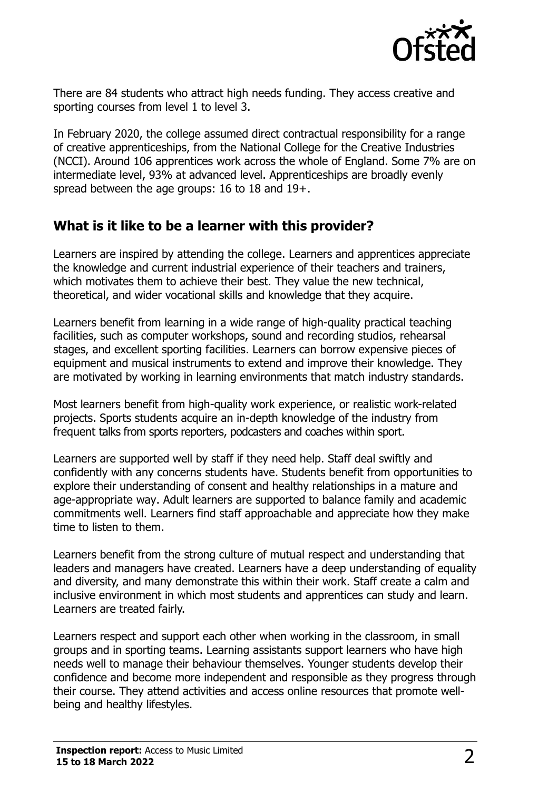

There are 84 students who attract high needs funding. They access creative and sporting courses from level 1 to level 3.

In February 2020, the college assumed direct contractual responsibility for a range of creative apprenticeships, from the National College for the Creative Industries (NCCI). Around 106 apprentices work across the whole of England. Some 7% are on intermediate level, 93% at advanced level. Apprenticeships are broadly evenly spread between the age groups: 16 to 18 and 19+.

#### **What is it like to be a learner with this provider?**

Learners are inspired by attending the college. Learners and apprentices appreciate the knowledge and current industrial experience of their teachers and trainers, which motivates them to achieve their best. They value the new technical, theoretical, and wider vocational skills and knowledge that they acquire.

Learners benefit from learning in a wide range of high-quality practical teaching facilities, such as computer workshops, sound and recording studios, rehearsal stages, and excellent sporting facilities. Learners can borrow expensive pieces of equipment and musical instruments to extend and improve their knowledge. They are motivated by working in learning environments that match industry standards.

Most learners benefit from high-quality work experience, or realistic work-related projects. Sports students acquire an in-depth knowledge of the industry from frequent talks from sports reporters, podcasters and coaches within sport.

Learners are supported well by staff if they need help. Staff deal swiftly and confidently with any concerns students have. Students benefit from opportunities to explore their understanding of consent and healthy relationships in a mature and age-appropriate way. Adult learners are supported to balance family and academic commitments well. Learners find staff approachable and appreciate how they make time to listen to them.

Learners benefit from the strong culture of mutual respect and understanding that leaders and managers have created. Learners have a deep understanding of equality and diversity, and many demonstrate this within their work. Staff create a calm and inclusive environment in which most students and apprentices can study and learn. Learners are treated fairly.

Learners respect and support each other when working in the classroom, in small groups and in sporting teams. Learning assistants support learners who have high needs well to manage their behaviour themselves. Younger students develop their confidence and become more independent and responsible as they progress through their course. They attend activities and access online resources that promote wellbeing and healthy lifestyles.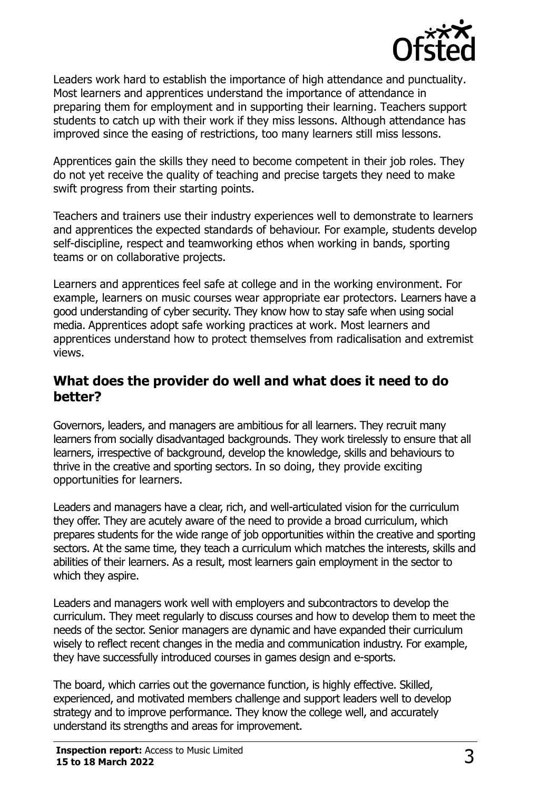

Leaders work hard to establish the importance of high attendance and punctuality. Most learners and apprentices understand the importance of attendance in preparing them for employment and in supporting their learning. Teachers support students to catch up with their work if they miss lessons. Although attendance has improved since the easing of restrictions, too many learners still miss lessons.

Apprentices gain the skills they need to become competent in their job roles. They do not yet receive the quality of teaching and precise targets they need to make swift progress from their starting points.

Teachers and trainers use their industry experiences well to demonstrate to learners and apprentices the expected standards of behaviour. For example, students develop self-discipline, respect and teamworking ethos when working in bands, sporting teams or on collaborative projects.

Learners and apprentices feel safe at college and in the working environment. For example, learners on music courses wear appropriate ear protectors. Learners have a good understanding of cyber security. They know how to stay safe when using social media. Apprentices adopt safe working practices at work. Most learners and apprentices understand how to protect themselves from radicalisation and extremist views.

#### **What does the provider do well and what does it need to do better?**

Governors, leaders, and managers are ambitious for all learners. They recruit many learners from socially disadvantaged backgrounds. They work tirelessly to ensure that all learners, irrespective of background, develop the knowledge, skills and behaviours to thrive in the creative and sporting sectors. In so doing, they provide exciting opportunities for learners.

Leaders and managers have a clear, rich, and well-articulated vision for the curriculum they offer. They are acutely aware of the need to provide a broad curriculum, which prepares students for the wide range of job opportunities within the creative and sporting sectors. At the same time, they teach a curriculum which matches the interests, skills and abilities of their learners. As a result, most learners gain employment in the sector to which they aspire.

Leaders and managers work well with employers and subcontractors to develop the curriculum. They meet regularly to discuss courses and how to develop them to meet the needs of the sector. Senior managers are dynamic and have expanded their curriculum wisely to reflect recent changes in the media and communication industry. For example, they have successfully introduced courses in games design and e-sports.

The board, which carries out the governance function, is highly effective. Skilled, experienced, and motivated members challenge and support leaders well to develop strategy and to improve performance. They know the college well, and accurately understand its strengths and areas for improvement.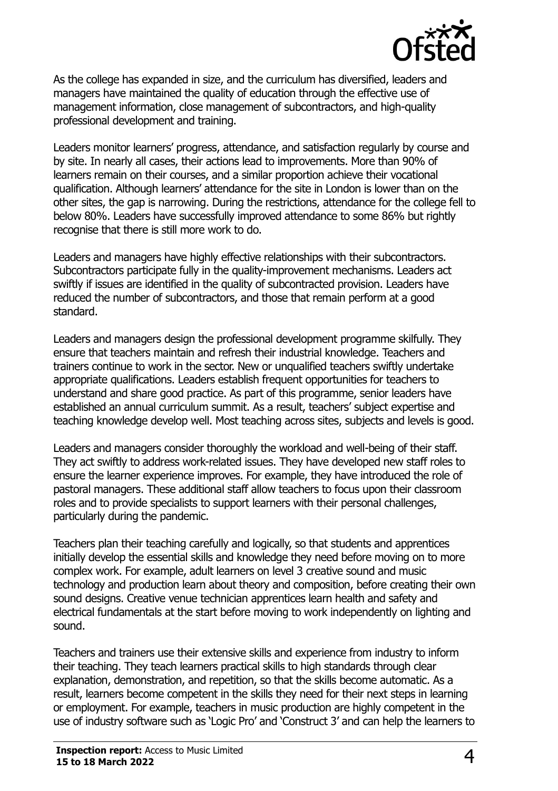

As the college has expanded in size, and the curriculum has diversified, leaders and managers have maintained the quality of education through the effective use of management information, close management of subcontractors, and high-quality professional development and training.

Leaders monitor learners' progress, attendance, and satisfaction regularly by course and by site. In nearly all cases, their actions lead to improvements. More than 90% of learners remain on their courses, and a similar proportion achieve their vocational qualification. Although learners' attendance for the site in London is lower than on the other sites, the gap is narrowing. During the restrictions, attendance for the college fell to below 80%. Leaders have successfully improved attendance to some 86% but rightly recognise that there is still more work to do.

Leaders and managers have highly effective relationships with their subcontractors. Subcontractors participate fully in the quality-improvement mechanisms. Leaders act swiftly if issues are identified in the quality of subcontracted provision. Leaders have reduced the number of subcontractors, and those that remain perform at a good standard.

Leaders and managers design the professional development programme skilfully. They ensure that teachers maintain and refresh their industrial knowledge. Teachers and trainers continue to work in the sector. New or unqualified teachers swiftly undertake appropriate qualifications. Leaders establish frequent opportunities for teachers to understand and share good practice. As part of this programme, senior leaders have established an annual curriculum summit. As a result, teachers' subject expertise and teaching knowledge develop well. Most teaching across sites, subjects and levels is good.

Leaders and managers consider thoroughly the workload and well-being of their staff. They act swiftly to address work-related issues. They have developed new staff roles to ensure the learner experience improves. For example, they have introduced the role of pastoral managers. These additional staff allow teachers to focus upon their classroom roles and to provide specialists to support learners with their personal challenges, particularly during the pandemic.

Teachers plan their teaching carefully and logically, so that students and apprentices initially develop the essential skills and knowledge they need before moving on to more complex work. For example, adult learners on level 3 creative sound and music technology and production learn about theory and composition, before creating their own sound designs. Creative venue technician apprentices learn health and safety and electrical fundamentals at the start before moving to work independently on lighting and sound.

Teachers and trainers use their extensive skills and experience from industry to inform their teaching. They teach learners practical skills to high standards through clear explanation, demonstration, and repetition, so that the skills become automatic. As a result, learners become competent in the skills they need for their next steps in learning or employment. For example, teachers in music production are highly competent in the use of industry software such as 'Logic Pro' and 'Construct 3' and can help the learners to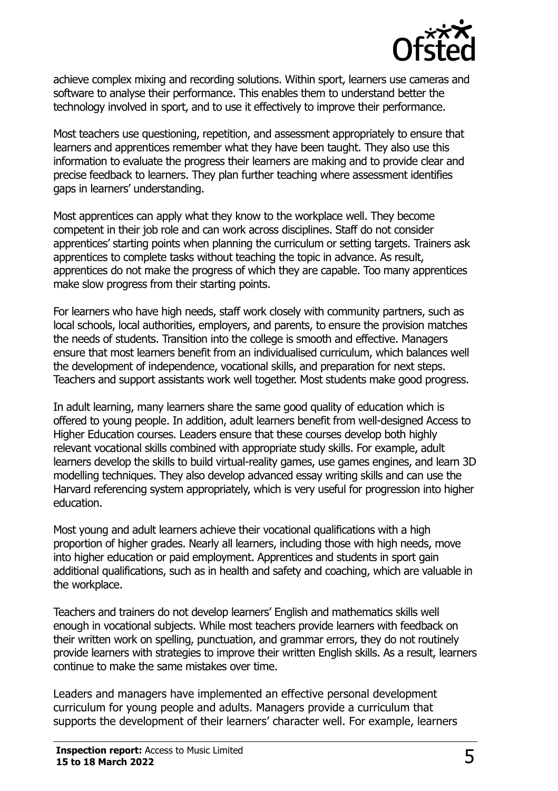

achieve complex mixing and recording solutions. Within sport, learners use cameras and software to analyse their performance. This enables them to understand better the technology involved in sport, and to use it effectively to improve their performance.

Most teachers use questioning, repetition, and assessment appropriately to ensure that learners and apprentices remember what they have been taught. They also use this information to evaluate the progress their learners are making and to provide clear and precise feedback to learners. They plan further teaching where assessment identifies gaps in learners' understanding.

Most apprentices can apply what they know to the workplace well. They become competent in their job role and can work across disciplines. Staff do not consider apprentices' starting points when planning the curriculum or setting targets. Trainers ask apprentices to complete tasks without teaching the topic in advance. As result, apprentices do not make the progress of which they are capable. Too many apprentices make slow progress from their starting points.

For learners who have high needs, staff work closely with community partners, such as local schools, local authorities, employers, and parents, to ensure the provision matches the needs of students. Transition into the college is smooth and effective. Managers ensure that most learners benefit from an individualised curriculum, which balances well the development of independence, vocational skills, and preparation for next steps. Teachers and support assistants work well together. Most students make good progress.

In adult learning, many learners share the same good quality of education which is offered to young people. In addition, adult learners benefit from well-designed Access to Higher Education courses. Leaders ensure that these courses develop both highly relevant vocational skills combined with appropriate study skills. For example, adult learners develop the skills to build virtual-reality games, use games engines, and learn 3D modelling techniques. They also develop advanced essay writing skills and can use the Harvard referencing system appropriately, which is very useful for progression into higher education.

Most young and adult learners achieve their vocational qualifications with a high proportion of higher grades. Nearly all learners, including those with high needs, move into higher education or paid employment. Apprentices and students in sport gain additional qualifications, such as in health and safety and coaching, which are valuable in the workplace.

Teachers and trainers do not develop learners' English and mathematics skills well enough in vocational subjects. While most teachers provide learners with feedback on their written work on spelling, punctuation, and grammar errors, they do not routinely provide learners with strategies to improve their written English skills. As a result, learners continue to make the same mistakes over time.

Leaders and managers have implemented an effective personal development curriculum for young people and adults. Managers provide a curriculum that supports the development of their learners' character well. For example, learners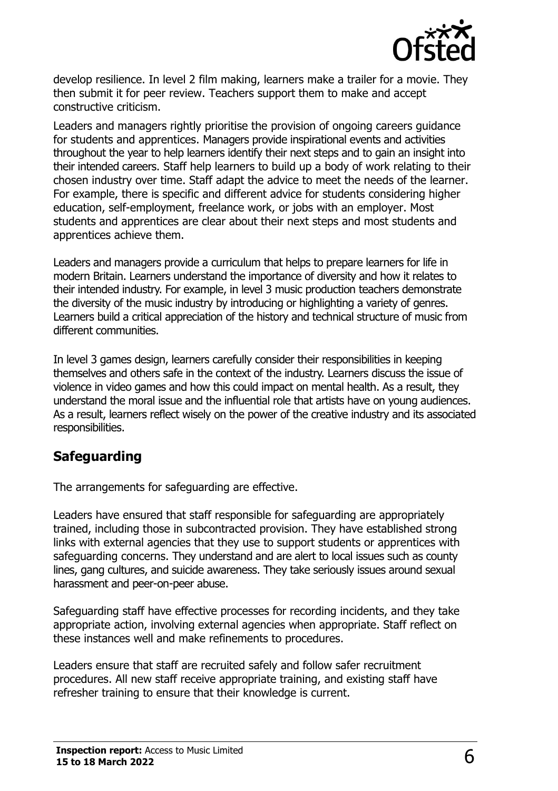

develop resilience. In level 2 film making, learners make a trailer for a movie. They then submit it for peer review. Teachers support them to make and accept constructive criticism.

Leaders and managers rightly prioritise the provision of ongoing careers guidance for students and apprentices. Managers provide inspirational events and activities throughout the year to help learners identify their next steps and to gain an insight into their intended careers. Staff help learners to build up a body of work relating to their chosen industry over time. Staff adapt the advice to meet the needs of the learner. For example, there is specific and different advice for students considering higher education, self-employment, freelance work, or jobs with an employer. Most students and apprentices are clear about their next steps and most students and apprentices achieve them.

Leaders and managers provide a curriculum that helps to prepare learners for life in modern Britain. Learners understand the importance of diversity and how it relates to their intended industry. For example, in level 3 music production teachers demonstrate the diversity of the music industry by introducing or highlighting a variety of genres. Learners build a critical appreciation of the history and technical structure of music from different communities.

In level 3 games design, learners carefully consider their responsibilities in keeping themselves and others safe in the context of the industry. Learners discuss the issue of violence in video games and how this could impact on mental health. As a result, they understand the moral issue and the influential role that artists have on young audiences. As a result, learners reflect wisely on the power of the creative industry and its associated responsibilities.

## **Safeguarding**

The arrangements for safeguarding are effective.

Leaders have ensured that staff responsible for safeguarding are appropriately trained, including those in subcontracted provision. They have established strong links with external agencies that they use to support students or apprentices with safeguarding concerns. They understand and are alert to local issues such as county lines, gang cultures, and suicide awareness. They take seriously issues around sexual harassment and peer-on-peer abuse.

Safeguarding staff have effective processes for recording incidents, and they take appropriate action, involving external agencies when appropriate. Staff reflect on these instances well and make refinements to procedures.

Leaders ensure that staff are recruited safely and follow safer recruitment procedures. All new staff receive appropriate training, and existing staff have refresher training to ensure that their knowledge is current.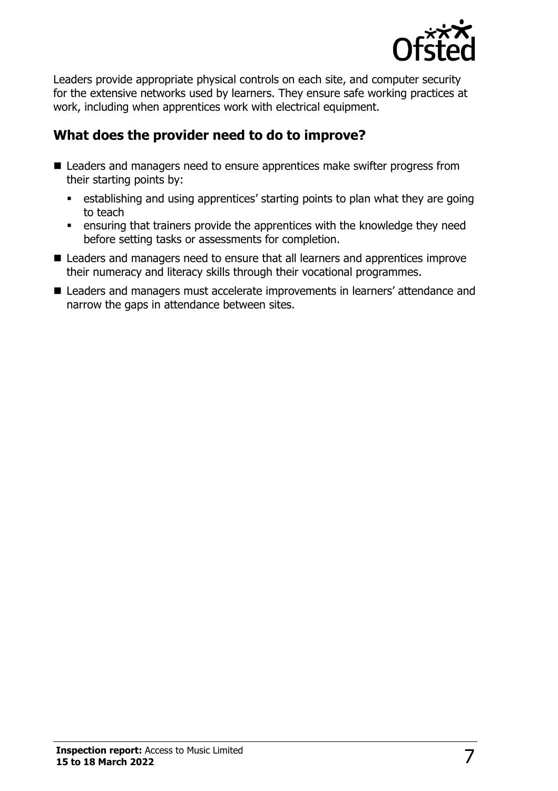

Leaders provide appropriate physical controls on each site, and computer security for the extensive networks used by learners. They ensure safe working practices at work, including when apprentices work with electrical equipment.

## **What does the provider need to do to improve?**

- Leaders and managers need to ensure apprentices make swifter progress from their starting points by:
	- establishing and using apprentices' starting points to plan what they are going to teach
	- **EXEDENT** ensuring that trainers provide the apprentices with the knowledge they need before setting tasks or assessments for completion.
- Leaders and managers need to ensure that all learners and apprentices improve their numeracy and literacy skills through their vocational programmes.
- Leaders and managers must accelerate improvements in learners' attendance and narrow the gaps in attendance between sites.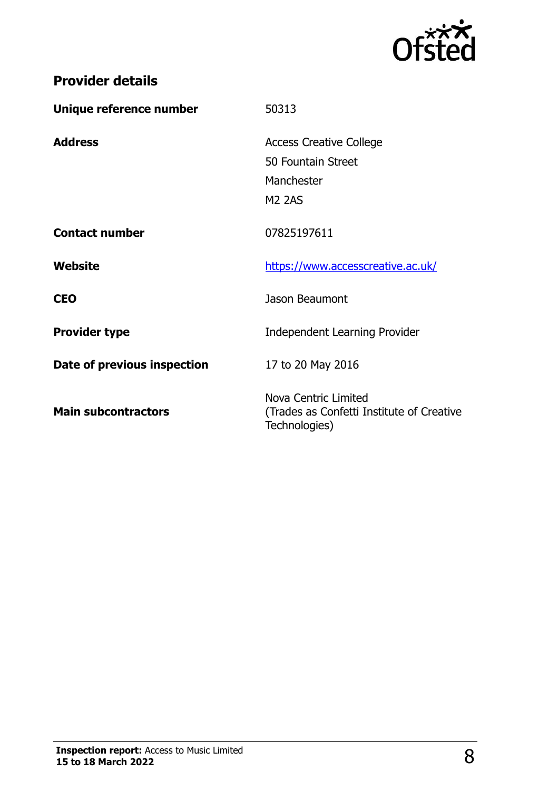

| Unique reference number     | 50313                                                                               |
|-----------------------------|-------------------------------------------------------------------------------------|
| <b>Address</b>              | <b>Access Creative College</b><br>50 Fountain Street<br>Manchester<br><b>M2 2AS</b> |
| <b>Contact number</b>       | 07825197611                                                                         |
| Website                     | https://www.accesscreative.ac.uk/                                                   |
| <b>CEO</b>                  | Jason Beaumont                                                                      |
| <b>Provider type</b>        | <b>Independent Learning Provider</b>                                                |
| Date of previous inspection | 17 to 20 May 2016                                                                   |
| <b>Main subcontractors</b>  | Nova Centric Limited<br>(Trades as Confetti Institute of Creative<br>Technologies)  |

**Provider details**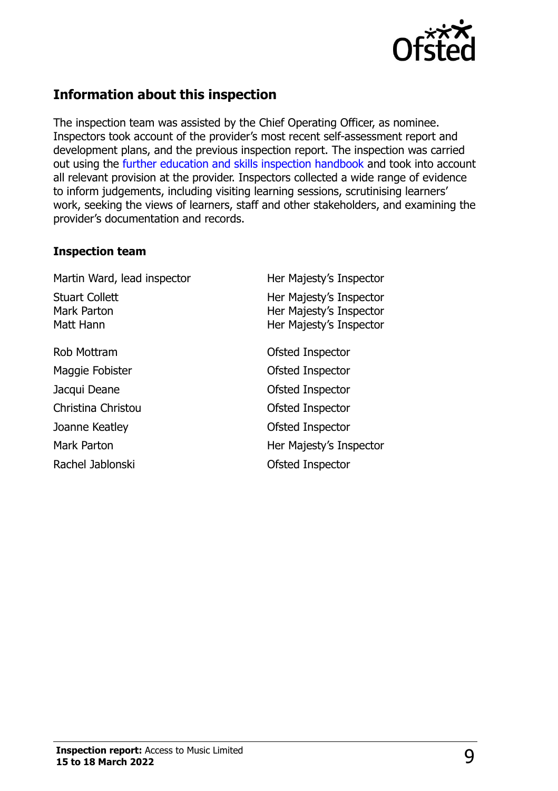

#### **Information about this inspection**

The inspection team was assisted by the Chief Operating Officer, as nominee. Inspectors took account of the provider's most recent self-assessment report and development plans, and the previous inspection report. The inspection was carried out using the [further education and skills inspection handbook](http://www.gov.uk/government/publications/further-education-and-skills-inspection-handbook-eif) and took into account all relevant provision at the provider. Inspectors collected a wide range of evidence to inform judgements, including visiting learning sessions, scrutinising learners' work, seeking the views of learners, staff and other stakeholders, and examining the provider's documentation and records.

#### **Inspection team**

Martin Ward, lead inspector **Her Majesty's Inspector** Stuart Collett Mark Parton Matt Hann Her Majesty's Inspector Her Majesty's Inspector Her Majesty's Inspector Rob Mottram **Contract Contract Contract Contract Contract Contract Contract Contract Contract Contract Contract Contract Contract Contract Contract Contract Contract Contract Contract Contract Contract Contract Contract Co** Maggie Fobister **Calculation** Ofsted Inspector Jacqui Deane **Deane Ofsted Inspector** Christina Christou Ofsted Inspector Joanne Keatley **Construction Construction Construction** Ofsted Inspector Mark Parton **Mark Parton Her Majesty's Inspector** Rachel Jablonski and Discrete Controller Controller Controller Controller Controller Controller Controller Controller Controller Controller Controller Controller Controller Controller Controller Controller Controller Contr